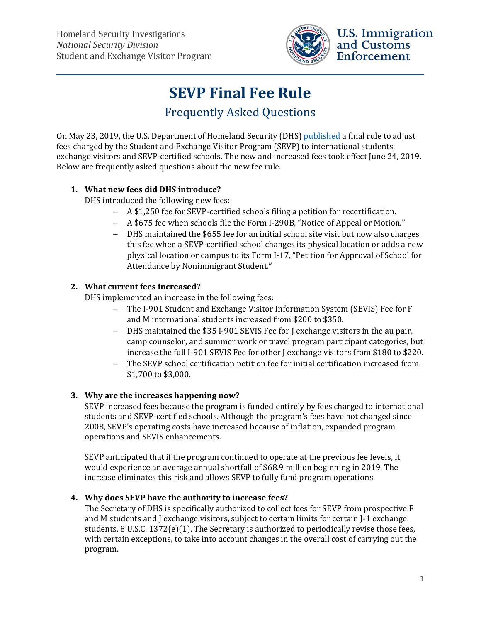

## **U.S. Immigration** and Customs Enforcement

# **SEVP Final Fee Rule** Frequently Asked Questions

On May 23, 2019, the U.S. Department of Homeland Security (DHS) [published](https://www.federalregister.gov/documents/2019/05/23/2019-10884/program-fees-for-the-student-and-exchange-visitor-program) a final rule to adjust fees charged by the Student and Exchange Visitor Program (SEVP) to international students, exchange visitors and SEVP-certified schools. The new and increased fees took effect June 24, 2019. Below are frequently asked questions about the new fee rule.

### **1. What new fees did DHS introduce?**

DHS introduced the following new fees:

- − A \$1,250 fee for SEVP-certified schools filing a petition for recertification.
- − A \$675 fee when schools file the Form I-290B, "Notice of Appeal or Motion."
- − DHS maintained the \$655 fee for an initial school site visit but now also charges this fee when a SEVP-certified school changes its physical location or adds a new physical location or campus to its Form I-17, "Petition for Approval of School for Attendance by Nonimmigrant Student."

#### **2. What current fees increased?**

DHS implemented an increase in the following fees:

- − The I-901 Student and Exchange Visitor Information System (SEVIS) Fee for F and M international students increased from \$200 to \$350.
- − DHS maintained the \$35 I-901 SEVIS Fee for J exchange visitors in the au pair, camp counselor, and summer work or travel program participant categories, but increase the full I-901 SEVIS Fee for other J exchange visitors from \$180 to \$220.
- The SEVP school certification petition fee for initial certification increased from \$1,700 to \$3,000.

#### **3. Why are the increases happening now?**

SEVP increased fees because the program is funded entirely by fees charged to international students and SEVP-certified schools. Although the program's fees have not changed since 2008, SEVP's operating costs have increased because of inflation, expanded program operations and SEVIS enhancements.

SEVP anticipated that if the program continued to operate at the previous fee levels, it would experience an average annual shortfall of \$68.9 million beginning in 2019. The increase eliminates this risk and allows SEVP to fully fund program operations.

#### **4. Why does SEVP have the authority to increase fees?**

The Secretary of DHS is specifically authorized to collect fees for SEVP from prospective F and M students and J exchange visitors, subject to certain limits for certain J-1 exchange students. 8 U.S.C. 1372(e)(1). The Secretary is authorized to periodically revise those fees, with certain exceptions, to take into account changes in the overall cost of carrying out the program.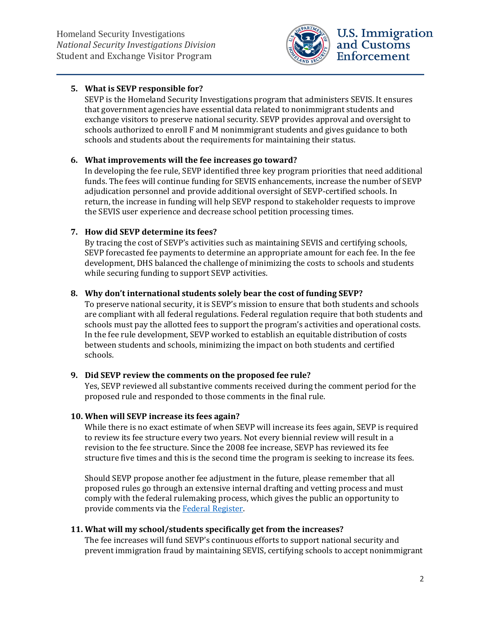

#### **5. What is SEVP responsible for?**

SEVP is the Homeland Security Investigations program that administers SEVIS. It ensures that government agencies have essential data related to nonimmigrant students and exchange visitors to preserve national security. SEVP provides approval and oversight to schools authorized to enroll F and M nonimmigrant students and gives guidance to both schools and students about the requirements for maintaining their status.

#### **6. What improvements will the fee increases go toward?**

In developing the fee rule, SEVP identified three key program priorities that need additional funds. The fees will continue funding for SEVIS enhancements, increase the number of SEVP adjudication personnel and provide additional oversight of SEVP-certified schools. In return, the increase in funding will help SEVP respond to stakeholder requests to improve the SEVIS user experience and decrease school petition processing times.

#### **7. How did SEVP determine its fees?**

By tracing the cost of SEVP's activities such as maintaining SEVIS and certifying schools, SEVP forecasted fee payments to determine an appropriate amount for each fee. In the fee development, DHS balanced the challenge of minimizing the costs to schools and students while securing funding to support SEVP activities.

#### **8. Why don't international students solely bear the cost of funding SEVP?**

To preserve national security, it is SEVP's mission to ensure that both students and schools are compliant with all federal regulations. Federal regulation require that both students and schools must pay the allotted fees to support the program's activities and operational costs. In the fee rule development, SEVP worked to establish an equitable distribution of costs between students and schools, minimizing the impact on both students and certified schools.

#### **9. Did SEVP review the comments on the proposed fee rule?**

Yes, SEVP reviewed all substantive comments received during the comment period for the proposed rule and responded to those comments in the final rule.

#### **10. When will SEVP increase its fees again?**

While there is no exact estimate of when SEVP will increase its fees again, SEVP is required to review its fee structure every two years. Not every biennial review will result in a revision to the fee structure. Since the 2008 fee increase, SEVP has reviewed its fee structure five times and this is the second time the program is seeking to increase its fees.

Should SEVP propose another fee adjustment in the future, please remember that all proposed rules go through an extensive internal drafting and vetting process and must comply with the federal rulemaking process, which gives the public an opportunity to provide comments via the Federal Register.

#### **11. What will my school/students specifically get from the increases?**

The fee increases will fund SEVP's continuous efforts to support national security and prevent immigration fraud by maintaining SEVIS, certifying schools to accept nonimmigrant